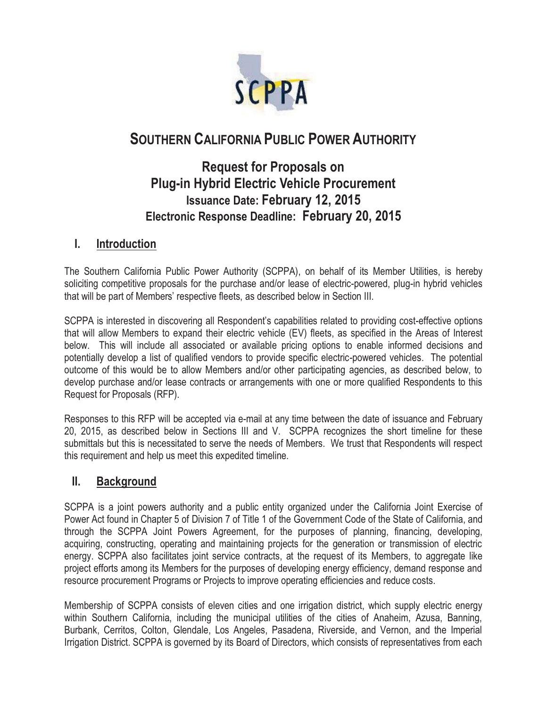

# **SOUTHERN CALIFORNIA PUBLIC POWER AUTHORITY**

# **Request for Proposals on Plug-in Hybrid Electric Vehicle Procurement Issuance Date: February 12, 2015 Electronic Response Deadline: February 20, 2015**

## **I. Introduction**

The Southern California Public Power Authority (SCPPA), on behalf of its Member Utilities, is hereby soliciting competitive proposals for the purchase and/or lease of electric-powered, plug-in hybrid vehicles that will be part of Members' respective fleets, as described below in Section III.

SCPPA is interested in discovering all Respondent's capabilities related to providing cost-effective options that will allow Members to expand their electric vehicle (EV) fleets, as specified in the Areas of Interest below. This will include all associated or available pricing options to enable informed decisions and potentially develop a list of qualified vendors to provide specific electric-powered vehicles. The potential outcome of this would be to allow Members and/or other participating agencies, as described below, to develop purchase and/or lease contracts or arrangements with one or more qualified Respondents to this Request for Proposals (RFP).

Responses to this RFP will be accepted via e-mail at any time between the date of issuance and February 20, 2015, as described below in Sections III and V. SCPPA recognizes the short timeline for these submittals but this is necessitated to serve the needs of Members. We trust that Respondents will respect this requirement and help us meet this expedited timeline.

# **II. Background**

SCPPA is a joint powers authority and a public entity organized under the California Joint Exercise of Power Act found in Chapter 5 of Division 7 of Title 1 of the Government Code of the State of California, and through the SCPPA Joint Powers Agreement, for the purposes of planning, financing, developing, acquiring, constructing, operating and maintaining projects for the generation or transmission of electric energy. SCPPA also facilitates joint service contracts, at the request of its Members, to aggregate like project efforts among its Members for the purposes of developing energy efficiency, demand response and resource procurement Programs or Projects to improve operating efficiencies and reduce costs.

Membership of SCPPA consists of eleven cities and one irrigation district, which supply electric energy within Southern California, including the municipal utilities of the cities of Anaheim, Azusa, Banning, Burbank, Cerritos, Colton, Glendale, Los Angeles, Pasadena, Riverside, and Vernon, and the Imperial Irrigation District. SCPPA is governed by its Board of Directors, which consists of representatives from each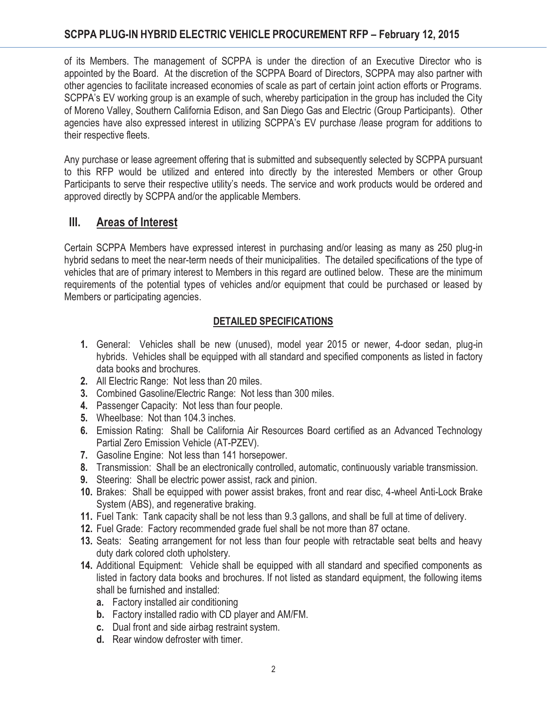of its Members. The management of SCPPA is under the direction of an Executive Director who is appointed by the Board. At the discretion of the SCPPA Board of Directors, SCPPA may also partner with other agencies to facilitate increased economies of scale as part of certain joint action efforts or Programs. SCPPA's EV working group is an example of such, whereby participation in the group has included the City of Moreno Valley, Southern California Edison, and San Diego Gas and Electric (Group Participants). Other agencies have also expressed interest in utilizing SCPPA's EV purchase /lease program for additions to their respective fleets.

Any purchase or lease agreement offering that is submitted and subsequently selected by SCPPA pursuant to this RFP would be utilized and entered into directly by the interested Members or other Group Participants to serve their respective utility's needs. The service and work products would be ordered and approved directly by SCPPA and/or the applicable Members.

# **III. Areas of Interest**

Certain SCPPA Members have expressed interest in purchasing and/or leasing as many as 250 plug-in hybrid sedans to meet the near-term needs of their municipalities. The detailed specifications of the type of vehicles that are of primary interest to Members in this regard are outlined below. These are the minimum requirements of the potential types of vehicles and/or equipment that could be purchased or leased by Members or participating agencies.

## **DETAILED SPECIFICATIONS**

- **1.** General: Vehicles shall be new (unused), model year 2015 or newer, 4-door sedan, plug-in hybrids. Vehicles shall be equipped with all standard and specified components as listed in factory data books and brochures.
- **2.** All Electric Range: Not less than 20 miles.
- **3.** Combined Gasoline/Electric Range: Not less than 300 miles.
- **4.** Passenger Capacity: Not less than four people.
- **5.** Wheelbase: Not than 104.3 inches.
- **6.** Emission Rating: Shall be California Air Resources Board certified as an Advanced Technology Partial Zero Emission Vehicle (AT-PZEV).
- **7.** Gasoline Engine: Not less than 141 horsepower.
- **8.** Transmission: Shall be an electronically controlled, automatic, continuously variable transmission.
- **9.** Steering: Shall be electric power assist, rack and pinion.
- **10.** Brakes: Shall be equipped with power assist brakes, front and rear disc, 4-wheel Anti-Lock Brake System (ABS), and regenerative braking.
- **11.** Fuel Tank: Tank capacity shall be not less than 9.3 gallons, and shall be full at time of delivery.
- **12.** Fuel Grade: Factory recommended grade fuel shall be not more than 87 octane.
- **13.** Seats: Seating arrangement for not less than four people with retractable seat belts and heavy duty dark colored cloth upholstery.
- **14.** Additional Equipment: Vehicle shall be equipped with all standard and specified components as listed in factory data books and brochures. If not listed as standard equipment, the following items shall be furnished and installed:
	- **a.** Factory installed air conditioning
	- **b.** Factory installed radio with CD player and AM/FM.
	- **c.** Dual front and side airbag restraint system.
	- **d.** Rear window defroster with timer.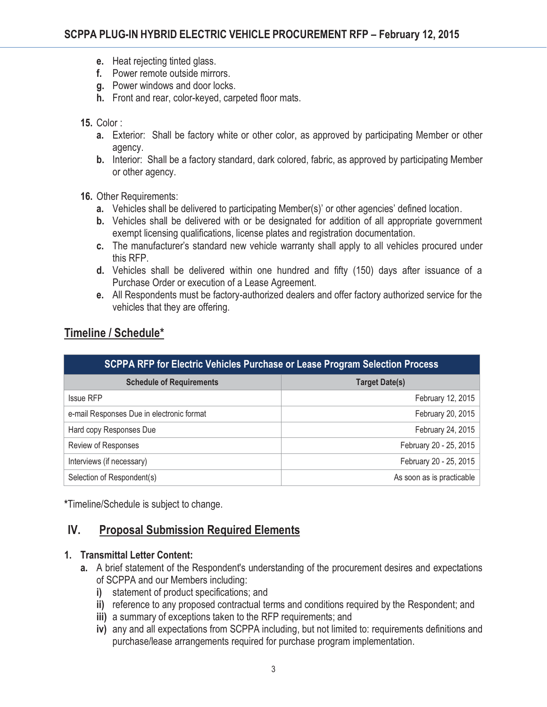- **e.** Heat rejecting tinted glass.
- **f.** Power remote outside mirrors.
- **g.** Power windows and door locks.
- **h.** Front and rear, color-keyed, carpeted floor mats.

#### **15.** Color :

- **a.** Exterior: Shall be factory white or other color, as approved by participating Member or other agency.
- **b.** Interior: Shall be a factory standard, dark colored, fabric, as approved by participating Member or other agency.
- **16.** Other Requirements:
	- **a.** Vehicles shall be delivered to participating Member(s)' or other agencies' defined location.
	- **b.** Vehicles shall be delivered with or be designated for addition of all appropriate government exempt licensing qualifications, license plates and registration documentation.
	- **c.** The manufacturer's standard new vehicle warranty shall apply to all vehicles procured under this RFP.
	- **d.** Vehicles shall be delivered within one hundred and fifty (150) days after issuance of a Purchase Order or execution of a Lease Agreement.
	- **e.** All Respondents must be factory-authorized dealers and offer factory authorized service for the vehicles that they are offering.

| SCPPA RFP for Electric Vehicles Purchase or Lease Program Selection Process |                           |
|-----------------------------------------------------------------------------|---------------------------|
| <b>Schedule of Requirements</b>                                             | <b>Target Date(s)</b>     |
| <b>Issue RFP</b>                                                            | February 12, 2015         |
| e-mail Responses Due in electronic format                                   | February 20, 2015         |
| Hard copy Responses Due                                                     | February 24, 2015         |
| Review of Responses                                                         | February 20 - 25, 2015    |
| Interviews (if necessary)                                                   | February 20 - 25, 2015    |
| Selection of Respondent(s)                                                  | As soon as is practicable |

## **Timeline / Schedule\***

**\***Timeline/Schedule is subject to change.

### **IV. Proposal Submission Required Elements**

#### **1. Transmittal Letter Content:**

- **a.** A brief statement of the Respondent's understanding of the procurement desires and expectations of SCPPA and our Members including:
	- **i)** statement of product specifications; and
	- **ii)** reference to any proposed contractual terms and conditions required by the Respondent; and
	- **iii)** a summary of exceptions taken to the RFP requirements; and
	- **iv)** any and all expectations from SCPPA including, but not limited to: requirements definitions and purchase/lease arrangements required for purchase program implementation.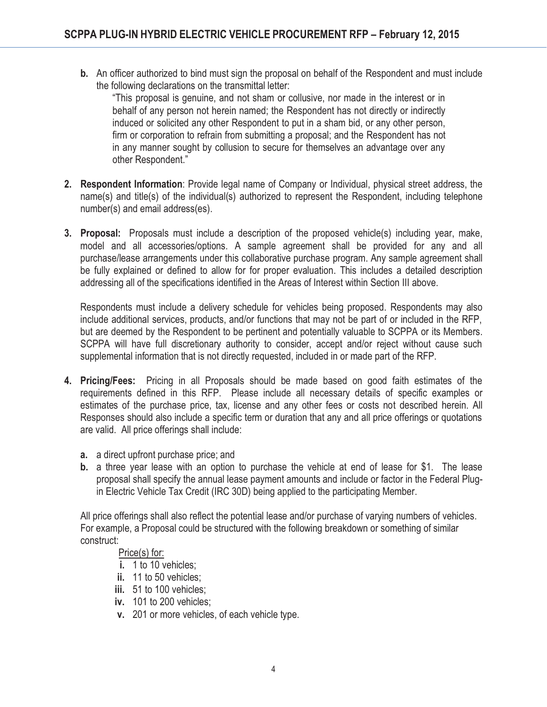**b.** An officer authorized to bind must sign the proposal on behalf of the Respondent and must include the following declarations on the transmittal letter:

"This proposal is genuine, and not sham or collusive, nor made in the interest or in behalf of any person not herein named; the Respondent has not directly or indirectly induced or solicited any other Respondent to put in a sham bid, or any other person, firm or corporation to refrain from submitting a proposal; and the Respondent has not in any manner sought by collusion to secure for themselves an advantage over any other Respondent."

- **2. Respondent Information**: Provide legal name of Company or Individual, physical street address, the name(s) and title(s) of the individual(s) authorized to represent the Respondent, including telephone number(s) and email address(es).
- **3. Proposal:** Proposals must include a description of the proposed vehicle(s) including year, make, model and all accessories/options. A sample agreement shall be provided for any and all purchase/lease arrangements under this collaborative purchase program. Any sample agreement shall be fully explained or defined to allow for for proper evaluation. This includes a detailed description addressing all of the specifications identified in the Areas of Interest within Section III above.

Respondents must include a delivery schedule for vehicles being proposed. Respondents may also include additional services, products, and/or functions that may not be part of or included in the RFP, but are deemed by the Respondent to be pertinent and potentially valuable to SCPPA or its Members. SCPPA will have full discretionary authority to consider, accept and/or reject without cause such supplemental information that is not directly requested, included in or made part of the RFP.

- **4. Pricing/Fees:** Pricing in all Proposals should be made based on good faith estimates of the requirements defined in this RFP. Please include all necessary details of specific examples or estimates of the purchase price, tax, license and any other fees or costs not described herein. All Responses should also include a specific term or duration that any and all price offerings or quotations are valid. All price offerings shall include:
	- **a.** a direct upfront purchase price; and
	- **b.** a three year lease with an option to purchase the vehicle at end of lease for \$1. The lease proposal shall specify the annual lease payment amounts and include or factor in the Federal Plugin Electric Vehicle Tax Credit (IRC 30D) being applied to the participating Member.

All price offerings shall also reflect the potential lease and/or purchase of varying numbers of vehicles. For example, a Proposal could be structured with the following breakdown or something of similar construct:

#### Price(s) for:

- **i.** 1 to 10 vehicles;
- **ii.** 11 to 50 vehicles;
- **iii.** 51 to 100 vehicles;
- **iv.** 101 to 200 vehicles;
- **v.** 201 or more vehicles, of each vehicle type.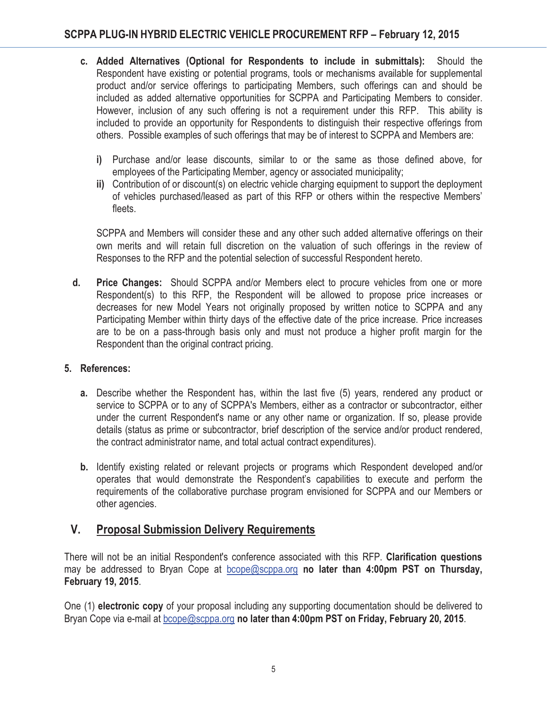- **c. Added Alternatives (Optional for Respondents to include in submittals):** Should the Respondent have existing or potential programs, tools or mechanisms available for supplemental product and/or service offerings to participating Members, such offerings can and should be included as added alternative opportunities for SCPPA and Participating Members to consider. However, inclusion of any such offering is not a requirement under this RFP. This ability is included to provide an opportunity for Respondents to distinguish their respective offerings from others. Possible examples of such offerings that may be of interest to SCPPA and Members are:
	- **i)** Purchase and/or lease discounts, similar to or the same as those defined above, for employees of the Participating Member, agency or associated municipality;
	- **ii)** Contribution of or discount(s) on electric vehicle charging equipment to support the deployment of vehicles purchased/leased as part of this RFP or others within the respective Members' fleets.

SCPPA and Members will consider these and any other such added alternative offerings on their own merits and will retain full discretion on the valuation of such offerings in the review of Responses to the RFP and the potential selection of successful Respondent hereto.

**d. Price Changes:** Should SCPPA and/or Members elect to procure vehicles from one or more Respondent(s) to this RFP, the Respondent will be allowed to propose price increases or decreases for new Model Years not originally proposed by written notice to SCPPA and any Participating Member within thirty days of the effective date of the price increase. Price increases are to be on a pass-through basis only and must not produce a higher profit margin for the Respondent than the original contract pricing.

#### **5. References:**

- **a.** Describe whether the Respondent has, within the last five (5) years, rendered any product or service to SCPPA or to any of SCPPA's Members, either as a contractor or subcontractor, either under the current Respondent's name or any other name or organization. If so, please provide details (status as prime or subcontractor, brief description of the service and/or product rendered, the contract administrator name, and total actual contract expenditures).
- **b.** Identify existing related or relevant projects or programs which Respondent developed and/or operates that would demonstrate the Respondent's capabilities to execute and perform the requirements of the collaborative purchase program envisioned for SCPPA and our Members or other agencies.

## **V. Proposal Submission Delivery Requirements**

There will not be an initial Respondent's conference associated with this RFP. **Clarification questions** may be addressed to Bryan Cope at bcope@scppa.org **no later than 4:00pm PST on Thursday, February 19, 2015**.

One (1) **electronic copy** of your proposal including any supporting documentation should be delivered to Bryan Cope via e-mail at bcope@scppa.org **no later than 4:00pm PST on Friday, February 20, 2015**.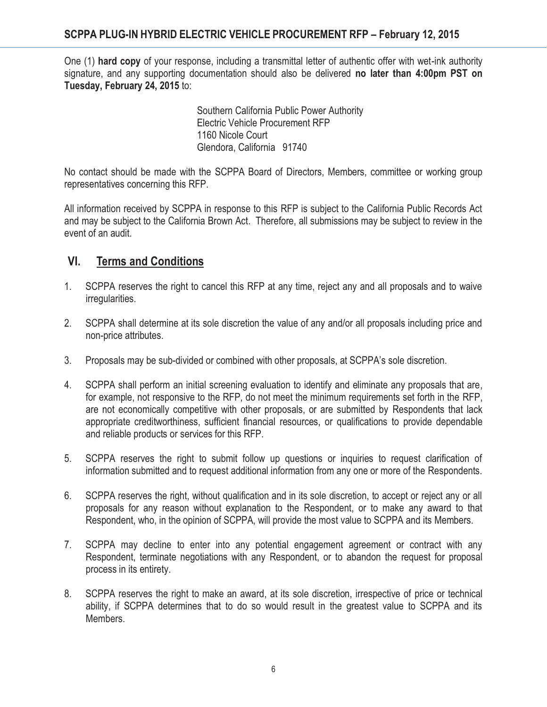One (1) **hard copy** of your response, including a transmittal letter of authentic offer with wet-ink authority signature, and any supporting documentation should also be delivered **no later than 4:00pm PST on Tuesday, February 24, 2015** to:

> Southern California Public Power Authority Electric Vehicle Procurement RFP 1160 Nicole Court Glendora, California 91740

No contact should be made with the SCPPA Board of Directors, Members, committee or working group representatives concerning this RFP.

All information received by SCPPA in response to this RFP is subject to the California Public Records Act and may be subject to the California Brown Act. Therefore, all submissions may be subject to review in the event of an audit.

# **VI. Terms and Conditions**

- 1. SCPPA reserves the right to cancel this RFP at any time, reject any and all proposals and to waive irregularities.
- 2. SCPPA shall determine at its sole discretion the value of any and/or all proposals including price and non-price attributes.
- 3. Proposals may be sub-divided or combined with other proposals, at SCPPA's sole discretion.
- 4. SCPPA shall perform an initial screening evaluation to identify and eliminate any proposals that are, for example, not responsive to the RFP, do not meet the minimum requirements set forth in the RFP, are not economically competitive with other proposals, or are submitted by Respondents that lack appropriate creditworthiness, sufficient financial resources, or qualifications to provide dependable and reliable products or services for this RFP.
- 5. SCPPA reserves the right to submit follow up questions or inquiries to request clarification of information submitted and to request additional information from any one or more of the Respondents.
- 6. SCPPA reserves the right, without qualification and in its sole discretion, to accept or reject any or all proposals for any reason without explanation to the Respondent, or to make any award to that Respondent, who, in the opinion of SCPPA, will provide the most value to SCPPA and its Members.
- 7. SCPPA may decline to enter into any potential engagement agreement or contract with any Respondent, terminate negotiations with any Respondent, or to abandon the request for proposal process in its entirety.
- 8. SCPPA reserves the right to make an award, at its sole discretion, irrespective of price or technical ability, if SCPPA determines that to do so would result in the greatest value to SCPPA and its Members.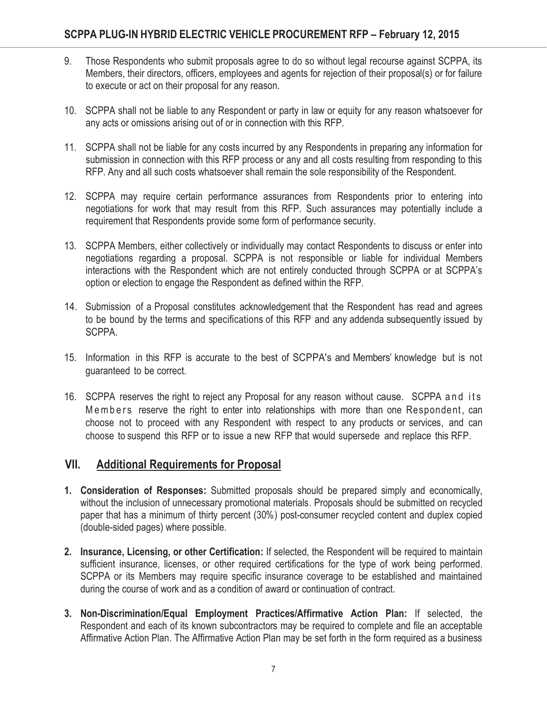- 9. Those Respondents who submit proposals agree to do so without legal recourse against SCPPA, its Members, their directors, officers, employees and agents for rejection of their proposal(s) or for failure to execute or act on their proposal for any reason.
- 10. SCPPA shall not be liable to any Respondent or party in law or equity for any reason whatsoever for any acts or omissions arising out of or in connection with this RFP.
- 11. SCPPA shall not be liable for any costs incurred by any Respondents in preparing any information for submission in connection with this RFP process or any and all costs resulting from responding to this RFP. Any and all such costs whatsoever shall remain the sole responsibility of the Respondent.
- 12. SCPPA may require certain performance assurances from Respondents prior to entering into negotiations for work that may result from this RFP. Such assurances may potentially include a requirement that Respondents provide some form of performance security.
- 13. SCPPA Members, either collectively or individually may contact Respondents to discuss or enter into negotiations regarding a proposal. SCPPA is not responsible or liable for individual Members interactions with the Respondent which are not entirely conducted through SCPPA or at SCPPA's option or election to engage the Respondent as defined within the RFP.
- 14. Submission of a Proposal constitutes acknowledgement that the Respondent has read and agrees to be bound by the terms and specifications of this RFP and any addenda subsequently issued by SCPPA.
- 15. Information in this RFP is accurate to the best of SCPPA's and Members' knowledge but is not guaranteed to be correct.
- 16. SCPPA reserves the right to reject any Proposal for any reason without cause. SCPPA and its Members reserve the right to enter into relationships with more than one Respondent, can choose not to proceed with any Respondent with respect to any products or services, and can choose to suspend this RFP or to issue a new RFP that would supersede and replace this RFP.

### **VII. Additional Requirements for Proposal**

- **1. Consideration of Responses:** Submitted proposals should be prepared simply and economically, without the inclusion of unnecessary promotional materials. Proposals should be submitted on recycled paper that has a minimum of thirty percent (30%) post-consumer recycled content and duplex copied (double-sided pages) where possible.
- **2. Insurance, Licensing, or other Certification:** If selected, the Respondent will be required to maintain sufficient insurance, licenses, or other required certifications for the type of work being performed. SCPPA or its Members may require specific insurance coverage to be established and maintained during the course of work and as a condition of award or continuation of contract.
- **3. Non-Discrimination/Equal Employment Practices/Affirmative Action Plan:** If selected, the Respondent and each of its known subcontractors may be required to complete and file an acceptable Affirmative Action Plan. The Affirmative Action Plan may be set forth in the form required as a business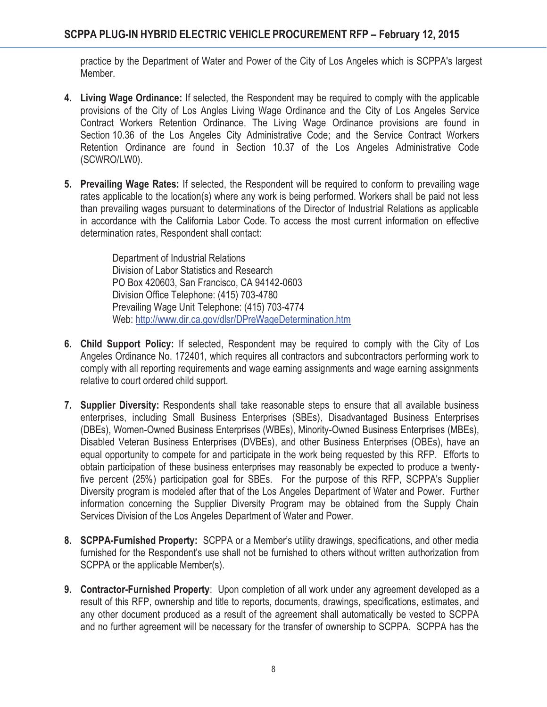practice by the Department of Water and Power of the City of Los Angeles which is SCPPA's largest Member.

- **4. Living Wage Ordinance:** If selected, the Respondent may be required to comply with the applicable provisions of the City of Los Angles Living Wage Ordinance and the City of Los Angeles Service Contract Workers Retention Ordinance. The Living Wage Ordinance provisions are found in Section 10.36 of the Los Angeles City Administrative Code; and the Service Contract Workers Retention Ordinance are found in Section 10.37 of the Los Angeles Administrative Code (SCWRO/LW0).
- **5. Prevailing Wage Rates:** If selected, the Respondent will be required to conform to prevailing wage rates applicable to the location(s) where any work is being performed. Workers shall be paid not less than prevailing wages pursuant to determinations of the Director of Industrial Relations as applicable in accordance with the California Labor Code. To access the most current information on effective determination rates, Respondent shall contact:

Department of Industrial Relations Division of Labor Statistics and Research PO Box 420603, San Francisco, CA 94142-0603 Division Office Telephone: (415) 703-4780 Prevailing Wage Unit Telephone: (415) 703-4774 Web: http://www.dir.ca.gov/dlsr/DPreWageDetermination.htm

- **6. Child Support Policy:** If selected, Respondent may be required to comply with the City of Los Angeles Ordinance No. 172401, which requires all contractors and subcontractors performing work to comply with all reporting requirements and wage earning assignments and wage earning assignments relative to court ordered child support.
- **7. Supplier Diversity:** Respondents shall take reasonable steps to ensure that all available business enterprises, including Small Business Enterprises (SBEs), Disadvantaged Business Enterprises (DBEs), Women-Owned Business Enterprises (WBEs), Minority-Owned Business Enterprises (MBEs), Disabled Veteran Business Enterprises (DVBEs), and other Business Enterprises (OBEs), have an equal opportunity to compete for and participate in the work being requested by this RFP. Efforts to obtain participation of these business enterprises may reasonably be expected to produce a twentyfive percent (25%) participation goal for SBEs. For the purpose of this RFP, SCPPA's Supplier Diversity program is modeled after that of the Los Angeles Department of Water and Power. Further information concerning the Supplier Diversity Program may be obtained from the Supply Chain Services Division of the Los Angeles Department of Water and Power.
- **8. SCPPA-Furnished Property:** SCPPA or a Member's utility drawings, specifications, and other media furnished for the Respondent's use shall not be furnished to others without written authorization from SCPPA or the applicable Member(s).
- **9. Contractor-Furnished Property**: Upon completion of all work under any agreement developed as a result of this RFP, ownership and title to reports, documents, drawings, specifications, estimates, and any other document produced as a result of the agreement shall automatically be vested to SCPPA and no further agreement will be necessary for the transfer of ownership to SCPPA. SCPPA has the